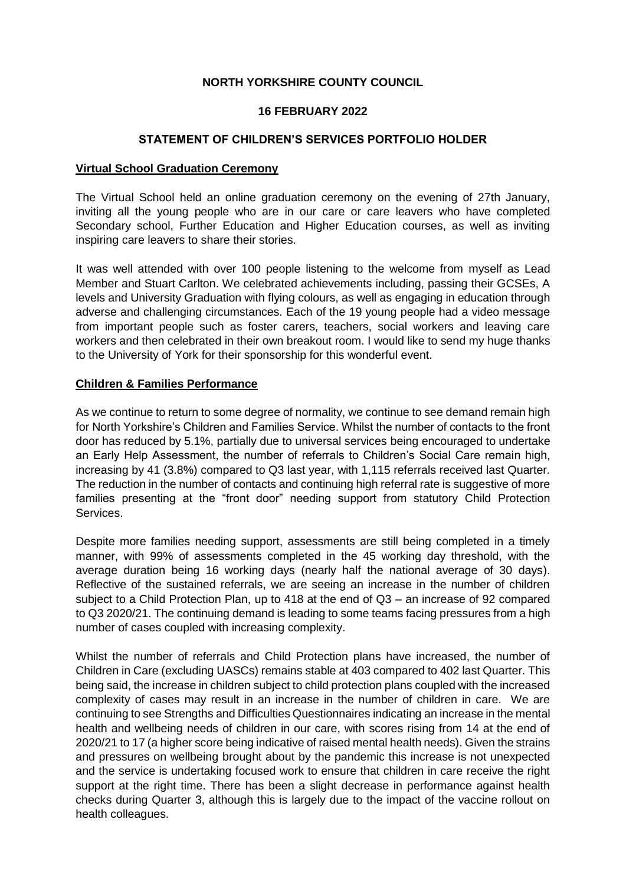# **NORTH YORKSHIRE COUNTY COUNCIL**

### **16 FEBRUARY 2022**

### **STATEMENT OF CHILDREN'S SERVICES PORTFOLIO HOLDER**

#### **Virtual School Graduation Ceremony**

The Virtual School held an online graduation ceremony on the evening of 27th January, inviting all the young people who are in our care or care leavers who have completed Secondary school, Further Education and Higher Education courses, as well as inviting inspiring care leavers to share their stories.

It was well attended with over 100 people listening to the welcome from myself as Lead Member and Stuart Carlton. We celebrated achievements including, passing their GCSEs, A levels and University Graduation with flying colours, as well as engaging in education through adverse and challenging circumstances. Each of the 19 young people had a video message from important people such as foster carers, teachers, social workers and leaving care workers and then celebrated in their own breakout room. I would like to send my huge thanks to the University of York for their sponsorship for this wonderful event.

### **Children & Families Performance**

As we continue to return to some degree of normality, we continue to see demand remain high for North Yorkshire's Children and Families Service. Whilst the number of contacts to the front door has reduced by 5.1%, partially due to universal services being encouraged to undertake an Early Help Assessment, the number of referrals to Children's Social Care remain high, increasing by 41 (3.8%) compared to Q3 last year, with 1,115 referrals received last Quarter. The reduction in the number of contacts and continuing high referral rate is suggestive of more families presenting at the "front door" needing support from statutory Child Protection Services.

Despite more families needing support, assessments are still being completed in a timely manner, with 99% of assessments completed in the 45 working day threshold, with the average duration being 16 working days (nearly half the national average of 30 days). Reflective of the sustained referrals, we are seeing an increase in the number of children subject to a Child Protection Plan, up to 418 at the end of Q3 – an increase of 92 compared to Q3 2020/21. The continuing demand is leading to some teams facing pressures from a high number of cases coupled with increasing complexity.

Whilst the number of referrals and Child Protection plans have increased, the number of Children in Care (excluding UASCs) remains stable at 403 compared to 402 last Quarter. This being said, the increase in children subject to child protection plans coupled with the increased complexity of cases may result in an increase in the number of children in care. We are continuing to see Strengths and Difficulties Questionnaires indicating an increase in the mental health and wellbeing needs of children in our care, with scores rising from 14 at the end of 2020/21 to 17 (a higher score being indicative of raised mental health needs). Given the strains and pressures on wellbeing brought about by the pandemic this increase is not unexpected and the service is undertaking focused work to ensure that children in care receive the right support at the right time. There has been a slight decrease in performance against health checks during Quarter 3, although this is largely due to the impact of the vaccine rollout on health colleagues.